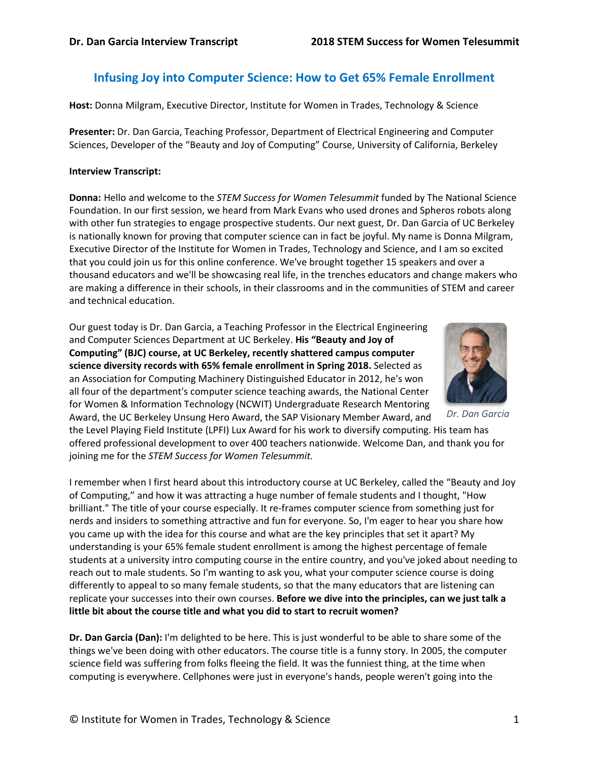# **Infusing Joy into Computer Science: How to Get 65% Female Enrollment**

**Host:** Donna Milgram, Executive Director, Institute for Women in Trades, Technology & Science

**Presenter:** Dr. Dan Garcia, Teaching Professor, Department of Electrical Engineering and Computer Sciences, Developer of the "Beauty and Joy of Computing" Course, University of California, Berkeley

#### **Interview Transcript:**

**Donna:** Hello and welcome to the *STEM Success for Women Telesummit* funded by The National Science Foundation. In our first session, we heard from Mark Evans who used drones and Spheros robots along with other fun strategies to engage prospective students. Our next guest, Dr. Dan Garcia of UC Berkeley is nationally known for proving that computer science can in fact be joyful. My name is Donna Milgram, Executive Director of the Institute for Women in Trades, Technology and Science, and I am so excited that you could join us for this online conference. We've brought together 15 speakers and over a thousand educators and we'll be showcasing real life, in the trenches educators and change makers who are making a difference in their schools, in their classrooms and in the communities of STEM and career and technical education.

Our guest today is Dr. Dan Garcia, a Teaching Professor in the Electrical Engineering and Computer Sciences Department at UC Berkeley. **His "Beauty and Joy of Computing" (BJC) course, at UC Berkeley, recently shattered campus computer science diversity records with 65% female enrollment in Spring 2018.** Selected as an Association for Computing Machinery Distinguished Educator in 2012, he's won all four of the department's computer science teaching awards, the National Center for Women & Information Technology (NCWIT) Undergraduate Research Mentoring Award, the UC Berkeley Unsung Hero Award, the SAP Visionary Member Award, and



*Dr. Dan Garcia*

the Level Playing Field Institute (LPFI) Lux Award for his work to diversify computing. His team has offered professional development to over 400 teachers nationwide. Welcome Dan, and thank you for joining me for the *STEM Success for Women Telesummit.*

I remember when I first heard about this introductory course at UC Berkeley, called the "Beauty and Joy of Computing," and how it was attracting a huge number of female students and I thought, "How brilliant." The title of your course especially. It re-frames computer science from something just for nerds and insiders to something attractive and fun for everyone. So, I'm eager to hear you share how you came up with the idea for this course and what are the key principles that set it apart? My understanding is your 65% female student enrollment is among the highest percentage of female students at a university intro computing course in the entire country, and you've joked about needing to reach out to male students. So I'm wanting to ask you, what your computer science course is doing differently to appeal to so many female students, so that the many educators that are listening can replicate your successes into their own courses. **Before we dive into the principles, can we just talk a little bit about the course title and what you did to start to recruit women?**

**Dr. Dan Garcia (Dan):** I'm delighted to be here. This is just wonderful to be able to share some of the things we've been doing with other educators. The course title is a funny story. In 2005, the computer science field was suffering from folks fleeing the field. It was the funniest thing, at the time when computing is everywhere. Cellphones were just in everyone's hands, people weren't going into the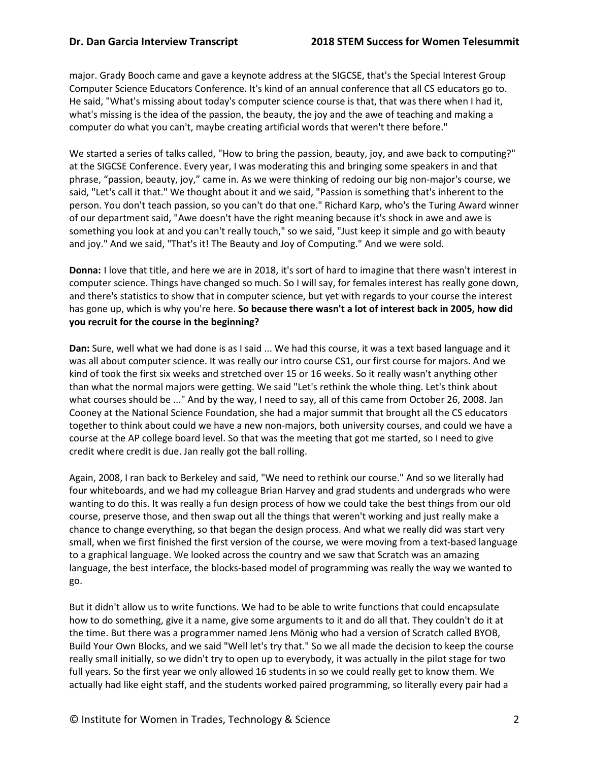major. Grady Booch came and gave a keynote address at the SIGCSE, that's the Special Interest Group Computer Science Educators Conference. It's kind of an annual conference that all CS educators go to. He said, "What's missing about today's computer science course is that, that was there when I had it, what's missing is the idea of the passion, the beauty, the joy and the awe of teaching and making a computer do what you can't, maybe creating artificial words that weren't there before."

We started a series of talks called, "How to bring the passion, beauty, joy, and awe back to computing?" at the SIGCSE Conference. Every year, I was moderating this and bringing some speakers in and that phrase, "passion, beauty, joy," came in. As we were thinking of redoing our big non-major's course, we said, "Let's call it that." We thought about it and we said, "Passion is something that's inherent to the person. You don't teach passion, so you can't do that one." Richard Karp, who's the Turing Award winner of our department said, "Awe doesn't have the right meaning because it's shock in awe and awe is something you look at and you can't really touch," so we said, "Just keep it simple and go with beauty and joy." And we said, "That's it! The Beauty and Joy of Computing." And we were sold.

**Donna:** I love that title, and here we are in 2018, it's sort of hard to imagine that there wasn't interest in computer science. Things have changed so much. So I will say, for females interest has really gone down, and there's statistics to show that in computer science, but yet with regards to your course the interest has gone up, which is why you're here. **So because there wasn't a lot of interest back in 2005, how did you recruit for the course in the beginning?**

**Dan:** Sure, well what we had done is as I said ... We had this course, it was a text based language and it was all about computer science. It was really our intro course CS1, our first course for majors. And we kind of took the first six weeks and stretched over 15 or 16 weeks. So it really wasn't anything other than what the normal majors were getting. We said "Let's rethink the whole thing. Let's think about what courses should be ..." And by the way, I need to say, all of this came from October 26, 2008. Jan Cooney at the National Science Foundation, she had a major summit that brought all the CS educators together to think about could we have a new non-majors, both university courses, and could we have a course at the AP college board level. So that was the meeting that got me started, so I need to give credit where credit is due. Jan really got the ball rolling.

Again, 2008, I ran back to Berkeley and said, "We need to rethink our course." And so we literally had four whiteboards, and we had my colleague Brian Harvey and grad students and undergrads who were wanting to do this. It was really a fun design process of how we could take the best things from our old course, preserve those, and then swap out all the things that weren't working and just really make a chance to change everything, so that began the design process. And what we really did was start very small, when we first finished the first version of the course, we were moving from a text-based language to a graphical language. We looked across the country and we saw that Scratch was an amazing language, the best interface, the blocks-based model of programming was really the way we wanted to go.

But it didn't allow us to write functions. We had to be able to write functions that could encapsulate how to do something, give it a name, give some arguments to it and do all that. They couldn't do it at the time. But there was a programmer named Jens Mönig who had a version of Scratch called BYOB, Build Your Own Blocks, and we said "Well let's try that." So we all made the decision to keep the course really small initially, so we didn't try to open up to everybody, it was actually in the pilot stage for two full years. So the first year we only allowed 16 students in so we could really get to know them. We actually had like eight staff, and the students worked paired programming, so literally every pair had a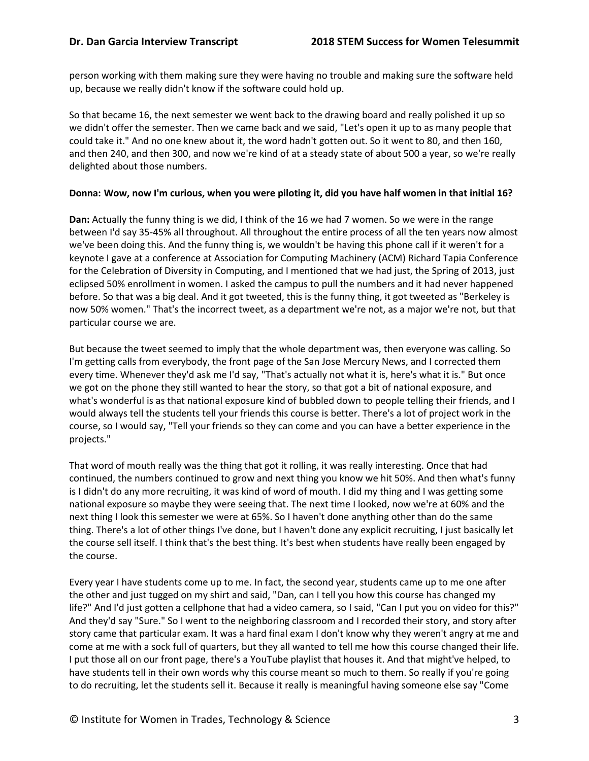person working with them making sure they were having no trouble and making sure the software held up, because we really didn't know if the software could hold up.

So that became 16, the next semester we went back to the drawing board and really polished it up so we didn't offer the semester. Then we came back and we said, "Let's open it up to as many people that could take it." And no one knew about it, the word hadn't gotten out. So it went to 80, and then 160, and then 240, and then 300, and now we're kind of at a steady state of about 500 a year, so we're really delighted about those numbers.

#### **Donna: Wow, now I'm curious, when you were piloting it, did you have half women in that initial 16?**

**Dan:** Actually the funny thing is we did, I think of the 16 we had 7 women. So we were in the range between I'd say 35-45% all throughout. All throughout the entire process of all the ten years now almost we've been doing this. And the funny thing is, we wouldn't be having this phone call if it weren't for a keynote I gave at a conference at Association for Computing Machinery (ACM) Richard Tapia Conference for the Celebration of Diversity in Computing, and I mentioned that we had just, the Spring of 2013, just eclipsed 50% enrollment in women. I asked the campus to pull the numbers and it had never happened before. So that was a big deal. And it got tweeted, this is the funny thing, it got tweeted as "Berkeley is now 50% women." That's the incorrect tweet, as a department we're not, as a major we're not, but that particular course we are.

But because the tweet seemed to imply that the whole department was, then everyone was calling. So I'm getting calls from everybody, the front page of the San Jose Mercury News, and I corrected them every time. Whenever they'd ask me I'd say, "That's actually not what it is, here's what it is." But once we got on the phone they still wanted to hear the story, so that got a bit of national exposure, and what's wonderful is as that national exposure kind of bubbled down to people telling their friends, and I would always tell the students tell your friends this course is better. There's a lot of project work in the course, so I would say, "Tell your friends so they can come and you can have a better experience in the projects."

That word of mouth really was the thing that got it rolling, it was really interesting. Once that had continued, the numbers continued to grow and next thing you know we hit 50%. And then what's funny is I didn't do any more recruiting, it was kind of word of mouth. I did my thing and I was getting some national exposure so maybe they were seeing that. The next time I looked, now we're at 60% and the next thing I look this semester we were at 65%. So I haven't done anything other than do the same thing. There's a lot of other things I've done, but I haven't done any explicit recruiting, I just basically let the course sell itself. I think that's the best thing. It's best when students have really been engaged by the course.

Every year I have students come up to me. In fact, the second year, students came up to me one after the other and just tugged on my shirt and said, "Dan, can I tell you how this course has changed my life?" And I'd just gotten a cellphone that had a video camera, so I said, "Can I put you on video for this?" And they'd say "Sure." So I went to the neighboring classroom and I recorded their story, and story after story came that particular exam. It was a hard final exam I don't know why they weren't angry at me and come at me with a sock full of quarters, but they all wanted to tell me how this course changed their life. I put those all on our front page, there's a YouTube playlist that houses it. And that might've helped, to have students tell in their own words why this course meant so much to them. So really if you're going to do recruiting, let the students sell it. Because it really is meaningful having someone else say "Come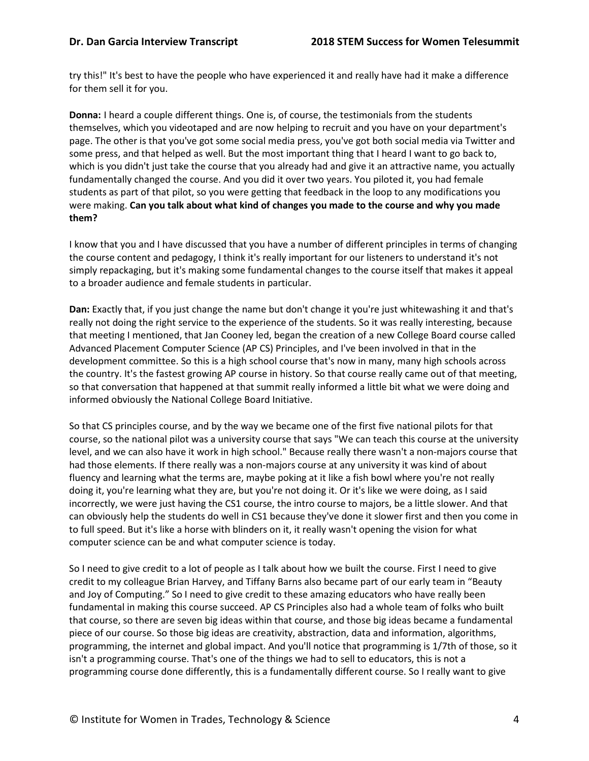try this!" It's best to have the people who have experienced it and really have had it make a difference for them sell it for you.

**Donna:** I heard a couple different things. One is, of course, the testimonials from the students themselves, which you videotaped and are now helping to recruit and you have on your department's page. The other is that you've got some social media press, you've got both social media via Twitter and some press, and that helped as well. But the most important thing that I heard I want to go back to, which is you didn't just take the course that you already had and give it an attractive name, you actually fundamentally changed the course. And you did it over two years. You piloted it, you had female students as part of that pilot, so you were getting that feedback in the loop to any modifications you were making. **Can you talk about what kind of changes you made to the course and why you made them?**

I know that you and I have discussed that you have a number of different principles in terms of changing the course content and pedagogy, I think it's really important for our listeners to understand it's not simply repackaging, but it's making some fundamental changes to the course itself that makes it appeal to a broader audience and female students in particular.

**Dan:** Exactly that, if you just change the name but don't change it you're just whitewashing it and that's really not doing the right service to the experience of the students. So it was really interesting, because that meeting I mentioned, that Jan Cooney led, began the creation of a new College Board course called Advanced Placement Computer Science (AP CS) Principles, and I've been involved in that in the development committee. So this is a high school course that's now in many, many high schools across the country. It's the fastest growing AP course in history. So that course really came out of that meeting, so that conversation that happened at that summit really informed a little bit what we were doing and informed obviously the National College Board Initiative.

So that CS principles course, and by the way we became one of the first five national pilots for that course, so the national pilot was a university course that says "We can teach this course at the university level, and we can also have it work in high school." Because really there wasn't a non-majors course that had those elements. If there really was a non-majors course at any university it was kind of about fluency and learning what the terms are, maybe poking at it like a fish bowl where you're not really doing it, you're learning what they are, but you're not doing it. Or it's like we were doing, as I said incorrectly, we were just having the CS1 course, the intro course to majors, be a little slower. And that can obviously help the students do well in CS1 because they've done it slower first and then you come in to full speed. But it's like a horse with blinders on it, it really wasn't opening the vision for what computer science can be and what computer science is today.

So I need to give credit to a lot of people as I talk about how we built the course. First I need to give credit to my colleague Brian Harvey, and Tiffany Barns also became part of our early team in "Beauty and Joy of Computing." So I need to give credit to these amazing educators who have really been fundamental in making this course succeed. AP CS Principles also had a whole team of folks who built that course, so there are seven big ideas within that course, and those big ideas became a fundamental piece of our course. So those big ideas are creativity, abstraction, data and information, algorithms, programming, the internet and global impact. And you'll notice that programming is 1/7th of those, so it isn't a programming course. That's one of the things we had to sell to educators, this is not a programming course done differently, this is a fundamentally different course. So I really want to give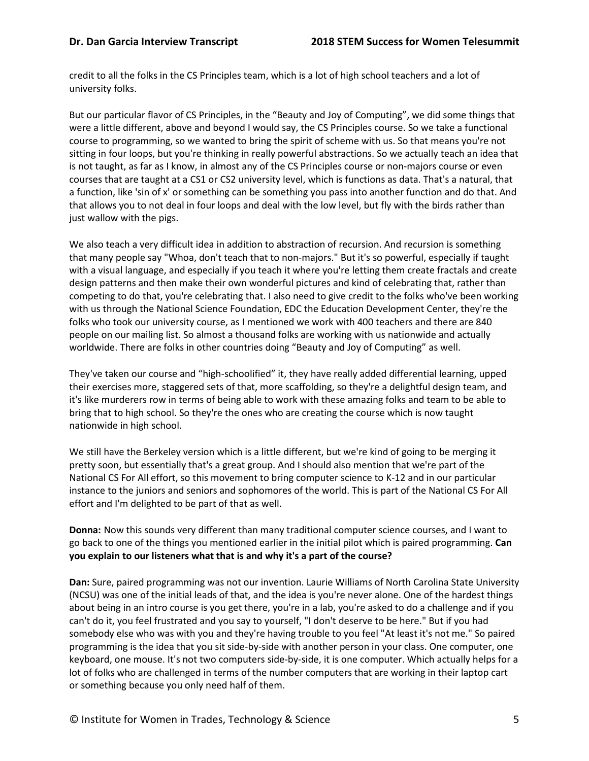credit to all the folks in the CS Principles team, which is a lot of high school teachers and a lot of university folks.

But our particular flavor of CS Principles, in the "Beauty and Joy of Computing", we did some things that were a little different, above and beyond I would say, the CS Principles course. So we take a functional course to programming, so we wanted to bring the spirit of scheme with us. So that means you're not sitting in four loops, but you're thinking in really powerful abstractions. So we actually teach an idea that is not taught, as far as I know, in almost any of the CS Principles course or non-majors course or even courses that are taught at a CS1 or CS2 university level, which is functions as data. That's a natural, that a function, like 'sin of x' or something can be something you pass into another function and do that. And that allows you to not deal in four loops and deal with the low level, but fly with the birds rather than just wallow with the pigs.

We also teach a very difficult idea in addition to abstraction of recursion. And recursion is something that many people say "Whoa, don't teach that to non-majors." But it's so powerful, especially if taught with a visual language, and especially if you teach it where you're letting them create fractals and create design patterns and then make their own wonderful pictures and kind of celebrating that, rather than competing to do that, you're celebrating that. I also need to give credit to the folks who've been working with us through the National Science Foundation, EDC the Education Development Center, they're the folks who took our university course, as I mentioned we work with 400 teachers and there are 840 people on our mailing list. So almost a thousand folks are working with us nationwide and actually worldwide. There are folks in other countries doing "Beauty and Joy of Computing" as well.

They've taken our course and "high-schoolified" it, they have really added differential learning, upped their exercises more, staggered sets of that, more scaffolding, so they're a delightful design team, and it's like murderers row in terms of being able to work with these amazing folks and team to be able to bring that to high school. So they're the ones who are creating the course which is now taught nationwide in high school.

We still have the Berkeley version which is a little different, but we're kind of going to be merging it pretty soon, but essentially that's a great group. And I should also mention that we're part of the National CS For All effort, so this movement to bring computer science to K-12 and in our particular instance to the juniors and seniors and sophomores of the world. This is part of the National CS For All effort and I'm delighted to be part of that as well.

**Donna:** Now this sounds very different than many traditional computer science courses, and I want to go back to one of the things you mentioned earlier in the initial pilot which is paired programming. **Can you explain to our listeners what that is and why it's a part of the course?**

**Dan:** Sure, paired programming was not our invention. Laurie Williams of North Carolina State University (NCSU) was one of the initial leads of that, and the idea is you're never alone. One of the hardest things about being in an intro course is you get there, you're in a lab, you're asked to do a challenge and if you can't do it, you feel frustrated and you say to yourself, "I don't deserve to be here." But if you had somebody else who was with you and they're having trouble to you feel "At least it's not me." So paired programming is the idea that you sit side-by-side with another person in your class. One computer, one keyboard, one mouse. It's not two computers side-by-side, it is one computer. Which actually helps for a lot of folks who are challenged in terms of the number computers that are working in their laptop cart or something because you only need half of them.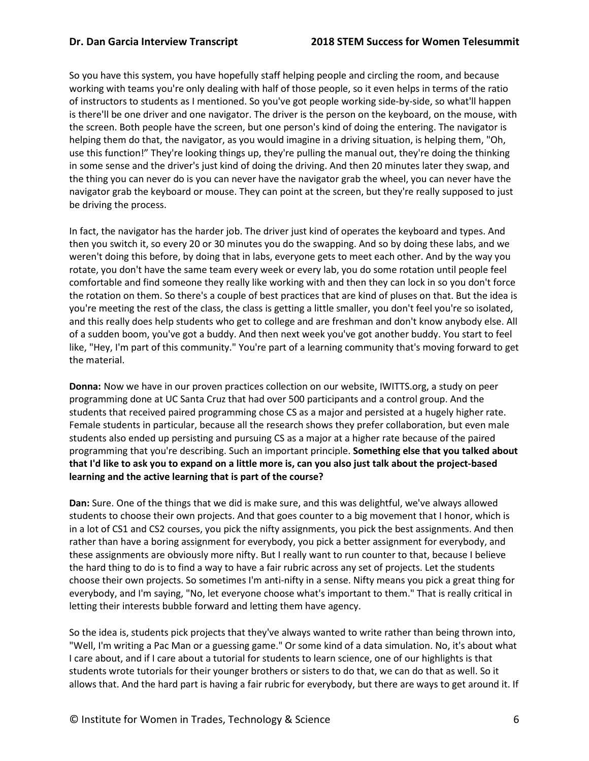So you have this system, you have hopefully staff helping people and circling the room, and because working with teams you're only dealing with half of those people, so it even helps in terms of the ratio of instructors to students as I mentioned. So you've got people working side-by-side, so what'll happen is there'll be one driver and one navigator. The driver is the person on the keyboard, on the mouse, with the screen. Both people have the screen, but one person's kind of doing the entering. The navigator is helping them do that, the navigator, as you would imagine in a driving situation, is helping them, "Oh, use this function!" They're looking things up, they're pulling the manual out, they're doing the thinking in some sense and the driver's just kind of doing the driving. And then 20 minutes later they swap, and the thing you can never do is you can never have the navigator grab the wheel, you can never have the navigator grab the keyboard or mouse. They can point at the screen, but they're really supposed to just be driving the process.

In fact, the navigator has the harder job. The driver just kind of operates the keyboard and types. And then you switch it, so every 20 or 30 minutes you do the swapping. And so by doing these labs, and we weren't doing this before, by doing that in labs, everyone gets to meet each other. And by the way you rotate, you don't have the same team every week or every lab, you do some rotation until people feel comfortable and find someone they really like working with and then they can lock in so you don't force the rotation on them. So there's a couple of best practices that are kind of pluses on that. But the idea is you're meeting the rest of the class, the class is getting a little smaller, you don't feel you're so isolated, and this really does help students who get to college and are freshman and don't know anybody else. All of a sudden boom, you've got a buddy. And then next week you've got another buddy. You start to feel like, "Hey, I'm part of this community." You're part of a learning community that's moving forward to get the material.

**Donna:** Now we have in our proven practices collection on our website, IWITTS.org, a study on peer programming done at UC Santa Cruz that had over 500 participants and a control group. And the students that received paired programming chose CS as a major and persisted at a hugely higher rate. Female students in particular, because all the research shows they prefer collaboration, but even male students also ended up persisting and pursuing CS as a major at a higher rate because of the paired programming that you're describing. Such an important principle. **Something else that you talked about that I'd like to ask you to expand on a little more is, can you also just talk about the project-based learning and the active learning that is part of the course?**

**Dan:** Sure. One of the things that we did is make sure, and this was delightful, we've always allowed students to choose their own projects. And that goes counter to a big movement that I honor, which is in a lot of CS1 and CS2 courses, you pick the nifty assignments, you pick the best assignments. And then rather than have a boring assignment for everybody, you pick a better assignment for everybody, and these assignments are obviously more nifty. But I really want to run counter to that, because I believe the hard thing to do is to find a way to have a fair rubric across any set of projects. Let the students choose their own projects. So sometimes I'm anti-nifty in a sense. Nifty means you pick a great thing for everybody, and I'm saying, "No, let everyone choose what's important to them." That is really critical in letting their interests bubble forward and letting them have agency.

So the idea is, students pick projects that they've always wanted to write rather than being thrown into, "Well, I'm writing a Pac Man or a guessing game." Or some kind of a data simulation. No, it's about what I care about, and if I care about a tutorial for students to learn science, one of our highlights is that students wrote tutorials for their younger brothers or sisters to do that, we can do that as well. So it allows that. And the hard part is having a fair rubric for everybody, but there are ways to get around it. If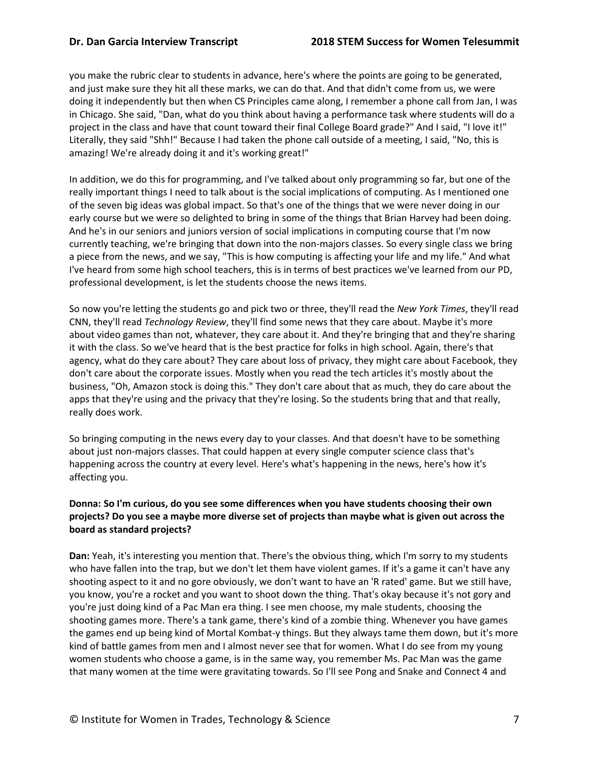you make the rubric clear to students in advance, here's where the points are going to be generated, and just make sure they hit all these marks, we can do that. And that didn't come from us, we were doing it independently but then when CS Principles came along, I remember a phone call from Jan, I was in Chicago. She said, "Dan, what do you think about having a performance task where students will do a project in the class and have that count toward their final College Board grade?" And I said, "I love it!" Literally, they said "Shh!" Because I had taken the phone call outside of a meeting, I said, "No, this is amazing! We're already doing it and it's working great!"

In addition, we do this for programming, and I've talked about only programming so far, but one of the really important things I need to talk about is the social implications of computing. As I mentioned one of the seven big ideas was global impact. So that's one of the things that we were never doing in our early course but we were so delighted to bring in some of the things that Brian Harvey had been doing. And he's in our seniors and juniors version of social implications in computing course that I'm now currently teaching, we're bringing that down into the non-majors classes. So every single class we bring a piece from the news, and we say, "This is how computing is affecting your life and my life." And what I've heard from some high school teachers, this is in terms of best practices we've learned from our PD, professional development, is let the students choose the news items.

So now you're letting the students go and pick two or three, they'll read the *New York Times*, they'll read CNN, they'll read *Technology Review*, they'll find some news that they care about. Maybe it's more about video games than not, whatever, they care about it. And they're bringing that and they're sharing it with the class. So we've heard that is the best practice for folks in high school. Again, there's that agency, what do they care about? They care about loss of privacy, they might care about Facebook, they don't care about the corporate issues. Mostly when you read the tech articles it's mostly about the business, "Oh, Amazon stock is doing this." They don't care about that as much, they do care about the apps that they're using and the privacy that they're losing. So the students bring that and that really, really does work.

So bringing computing in the news every day to your classes. And that doesn't have to be something about just non-majors classes. That could happen at every single computer science class that's happening across the country at every level. Here's what's happening in the news, here's how it's affecting you.

### **Donna: So I'm curious, do you see some differences when you have students choosing their own projects? Do you see a maybe more diverse set of projects than maybe what is given out across the board as standard projects?**

**Dan:** Yeah, it's interesting you mention that. There's the obvious thing, which I'm sorry to my students who have fallen into the trap, but we don't let them have violent games. If it's a game it can't have any shooting aspect to it and no gore obviously, we don't want to have an 'R rated' game. But we still have, you know, you're a rocket and you want to shoot down the thing. That's okay because it's not gory and you're just doing kind of a Pac Man era thing. I see men choose, my male students, choosing the shooting games more. There's a tank game, there's kind of a zombie thing. Whenever you have games the games end up being kind of Mortal Kombat-y things. But they always tame them down, but it's more kind of battle games from men and I almost never see that for women. What I do see from my young women students who choose a game, is in the same way, you remember Ms. Pac Man was the game that many women at the time were gravitating towards. So I'll see Pong and Snake and Connect 4 and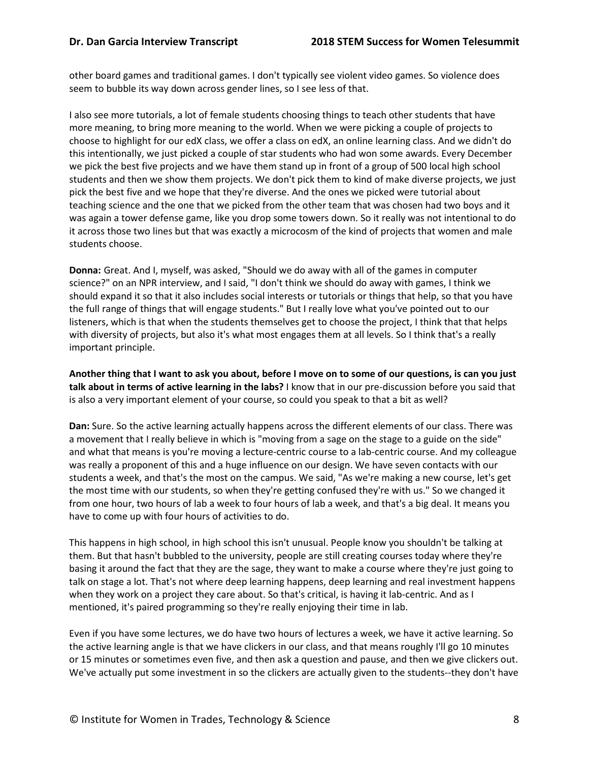other board games and traditional games. I don't typically see violent video games. So violence does seem to bubble its way down across gender lines, so I see less of that.

I also see more tutorials, a lot of female students choosing things to teach other students that have more meaning, to bring more meaning to the world. When we were picking a couple of projects to choose to highlight for our edX class, we offer a class on edX, an online learning class. And we didn't do this intentionally, we just picked a couple of star students who had won some awards. Every December we pick the best five projects and we have them stand up in front of a group of 500 local high school students and then we show them projects. We don't pick them to kind of make diverse projects, we just pick the best five and we hope that they're diverse. And the ones we picked were tutorial about teaching science and the one that we picked from the other team that was chosen had two boys and it was again a tower defense game, like you drop some towers down. So it really was not intentional to do it across those two lines but that was exactly a microcosm of the kind of projects that women and male students choose.

**Donna:** Great. And I, myself, was asked, "Should we do away with all of the games in computer science?" on an NPR interview, and I said, "I don't think we should do away with games, I think we should expand it so that it also includes social interests or tutorials or things that help, so that you have the full range of things that will engage students." But I really love what you've pointed out to our listeners, which is that when the students themselves get to choose the project, I think that that helps with diversity of projects, but also it's what most engages them at all levels. So I think that's a really important principle.

**Another thing that I want to ask you about, before I move on to some of our questions, is can you just talk about in terms of active learning in the labs?** I know that in our pre-discussion before you said that is also a very important element of your course, so could you speak to that a bit as well?

**Dan:** Sure. So the active learning actually happens across the different elements of our class. There was a movement that I really believe in which is "moving from a sage on the stage to a guide on the side" and what that means is you're moving a lecture-centric course to a lab-centric course. And my colleague was really a proponent of this and a huge influence on our design. We have seven contacts with our students a week, and that's the most on the campus. We said, "As we're making a new course, let's get the most time with our students, so when they're getting confused they're with us." So we changed it from one hour, two hours of lab a week to four hours of lab a week, and that's a big deal. It means you have to come up with four hours of activities to do.

This happens in high school, in high school this isn't unusual. People know you shouldn't be talking at them. But that hasn't bubbled to the university, people are still creating courses today where they're basing it around the fact that they are the sage, they want to make a course where they're just going to talk on stage a lot. That's not where deep learning happens, deep learning and real investment happens when they work on a project they care about. So that's critical, is having it lab-centric. And as I mentioned, it's paired programming so they're really enjoying their time in lab.

Even if you have some lectures, we do have two hours of lectures a week, we have it active learning. So the active learning angle is that we have clickers in our class, and that means roughly I'll go 10 minutes or 15 minutes or sometimes even five, and then ask a question and pause, and then we give clickers out. We've actually put some investment in so the clickers are actually given to the students--they don't have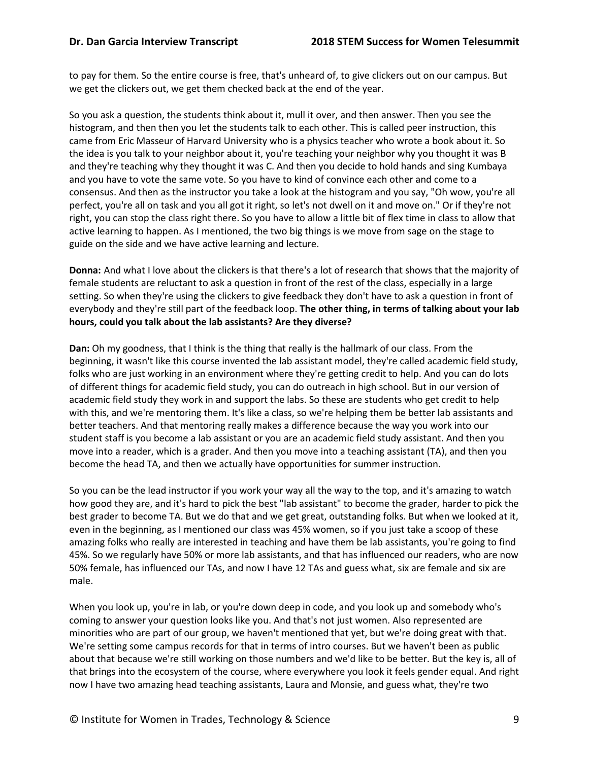to pay for them. So the entire course is free, that's unheard of, to give clickers out on our campus. But we get the clickers out, we get them checked back at the end of the year.

So you ask a question, the students think about it, mull it over, and then answer. Then you see the histogram, and then then you let the students talk to each other. This is called peer instruction, this came from Eric Masseur of Harvard University who is a physics teacher who wrote a book about it. So the idea is you talk to your neighbor about it, you're teaching your neighbor why you thought it was B and they're teaching why they thought it was C. And then you decide to hold hands and sing Kumbaya and you have to vote the same vote. So you have to kind of convince each other and come to a consensus. And then as the instructor you take a look at the histogram and you say, "Oh wow, you're all perfect, you're all on task and you all got it right, so let's not dwell on it and move on." Or if they're not right, you can stop the class right there. So you have to allow a little bit of flex time in class to allow that active learning to happen. As I mentioned, the two big things is we move from sage on the stage to guide on the side and we have active learning and lecture.

**Donna:** And what I love about the clickers is that there's a lot of research that shows that the majority of female students are reluctant to ask a question in front of the rest of the class, especially in a large setting. So when they're using the clickers to give feedback they don't have to ask a question in front of everybody and they're still part of the feedback loop. **The other thing, in terms of talking about your lab hours, could you talk about the lab assistants? Are they diverse?**

**Dan:** Oh my goodness, that I think is the thing that really is the hallmark of our class. From the beginning, it wasn't like this course invented the lab assistant model, they're called academic field study, folks who are just working in an environment where they're getting credit to help. And you can do lots of different things for academic field study, you can do outreach in high school. But in our version of academic field study they work in and support the labs. So these are students who get credit to help with this, and we're mentoring them. It's like a class, so we're helping them be better lab assistants and better teachers. And that mentoring really makes a difference because the way you work into our student staff is you become a lab assistant or you are an academic field study assistant. And then you move into a reader, which is a grader. And then you move into a teaching assistant (TA), and then you become the head TA, and then we actually have opportunities for summer instruction.

So you can be the lead instructor if you work your way all the way to the top, and it's amazing to watch how good they are, and it's hard to pick the best "lab assistant" to become the grader, harder to pick the best grader to become TA. But we do that and we get great, outstanding folks. But when we looked at it, even in the beginning, as I mentioned our class was 45% women, so if you just take a scoop of these amazing folks who really are interested in teaching and have them be lab assistants, you're going to find 45%. So we regularly have 50% or more lab assistants, and that has influenced our readers, who are now 50% female, has influenced our TAs, and now I have 12 TAs and guess what, six are female and six are male.

When you look up, you're in lab, or you're down deep in code, and you look up and somebody who's coming to answer your question looks like you. And that's not just women. Also represented are minorities who are part of our group, we haven't mentioned that yet, but we're doing great with that. We're setting some campus records for that in terms of intro courses. But we haven't been as public about that because we're still working on those numbers and we'd like to be better. But the key is, all of that brings into the ecosystem of the course, where everywhere you look it feels gender equal. And right now I have two amazing head teaching assistants, Laura and Monsie, and guess what, they're two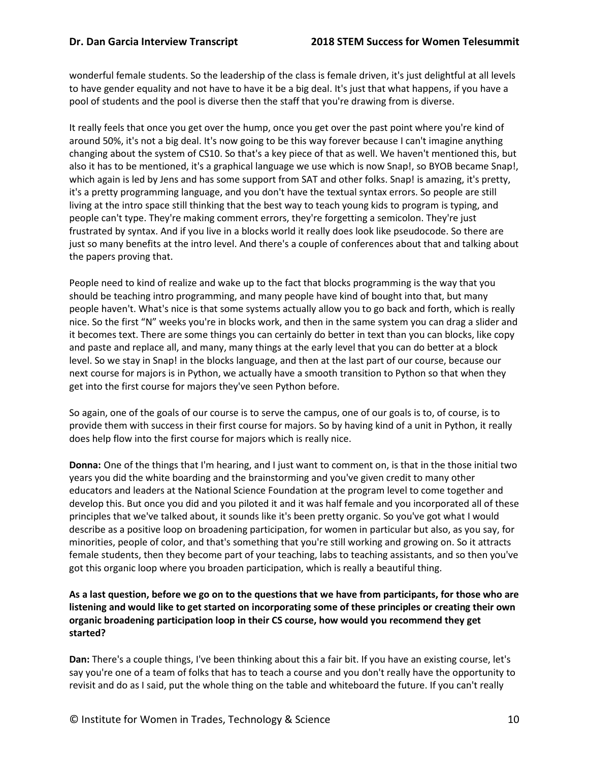wonderful female students. So the leadership of the class is female driven, it's just delightful at all levels to have gender equality and not have to have it be a big deal. It's just that what happens, if you have a pool of students and the pool is diverse then the staff that you're drawing from is diverse.

It really feels that once you get over the hump, once you get over the past point where you're kind of around 50%, it's not a big deal. It's now going to be this way forever because I can't imagine anything changing about the system of CS10. So that's a key piece of that as well. We haven't mentioned this, but also it has to be mentioned, it's a graphical language we use which is now Snap!, so BYOB became Snap!, which again is led by Jens and has some support from SAT and other folks. Snap! is amazing, it's pretty, it's a pretty programming language, and you don't have the textual syntax errors. So people are still living at the intro space still thinking that the best way to teach young kids to program is typing, and people can't type. They're making comment errors, they're forgetting a semicolon. They're just frustrated by syntax. And if you live in a blocks world it really does look like pseudocode. So there are just so many benefits at the intro level. And there's a couple of conferences about that and talking about the papers proving that.

People need to kind of realize and wake up to the fact that blocks programming is the way that you should be teaching intro programming, and many people have kind of bought into that, but many people haven't. What's nice is that some systems actually allow you to go back and forth, which is really nice. So the first "N" weeks you're in blocks work, and then in the same system you can drag a slider and it becomes text. There are some things you can certainly do better in text than you can blocks, like copy and paste and replace all, and many, many things at the early level that you can do better at a block level. So we stay in Snap! in the blocks language, and then at the last part of our course, because our next course for majors is in Python, we actually have a smooth transition to Python so that when they get into the first course for majors they've seen Python before.

So again, one of the goals of our course is to serve the campus, one of our goals is to, of course, is to provide them with success in their first course for majors. So by having kind of a unit in Python, it really does help flow into the first course for majors which is really nice.

**Donna:** One of the things that I'm hearing, and I just want to comment on, is that in the those initial two years you did the white boarding and the brainstorming and you've given credit to many other educators and leaders at the National Science Foundation at the program level to come together and develop this. But once you did and you piloted it and it was half female and you incorporated all of these principles that we've talked about, it sounds like it's been pretty organic. So you've got what I would describe as a positive loop on broadening participation, for women in particular but also, as you say, for minorities, people of color, and that's something that you're still working and growing on. So it attracts female students, then they become part of your teaching, labs to teaching assistants, and so then you've got this organic loop where you broaden participation, which is really a beautiful thing.

### **As a last question, before we go on to the questions that we have from participants, for those who are listening and would like to get started on incorporating some of these principles or creating their own organic broadening participation loop in their CS course, how would you recommend they get started?**

**Dan:** There's a couple things, I've been thinking about this a fair bit. If you have an existing course, let's say you're one of a team of folks that has to teach a course and you don't really have the opportunity to revisit and do as I said, put the whole thing on the table and whiteboard the future. If you can't really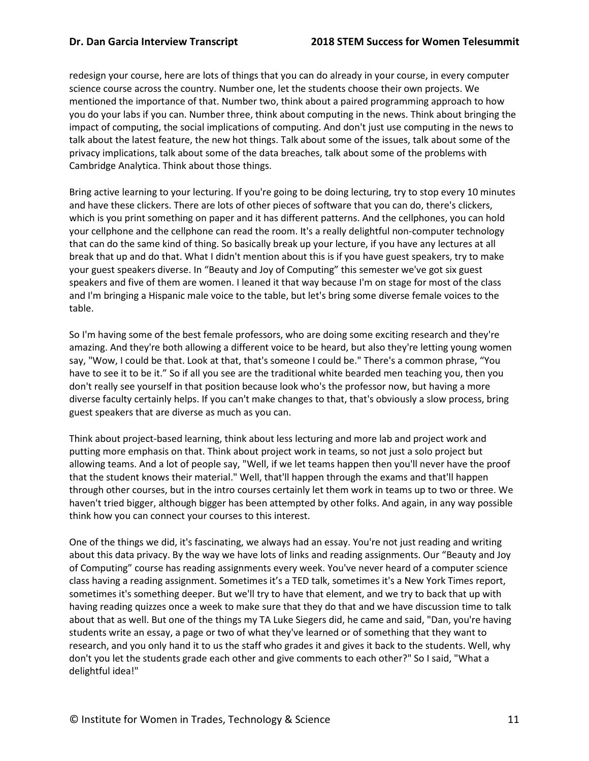redesign your course, here are lots of things that you can do already in your course, in every computer science course across the country. Number one, let the students choose their own projects. We mentioned the importance of that. Number two, think about a paired programming approach to how you do your labs if you can. Number three, think about computing in the news. Think about bringing the impact of computing, the social implications of computing. And don't just use computing in the news to talk about the latest feature, the new hot things. Talk about some of the issues, talk about some of the privacy implications, talk about some of the data breaches, talk about some of the problems with Cambridge Analytica. Think about those things.

Bring active learning to your lecturing. If you're going to be doing lecturing, try to stop every 10 minutes and have these clickers. There are lots of other pieces of software that you can do, there's clickers, which is you print something on paper and it has different patterns. And the cellphones, you can hold your cellphone and the cellphone can read the room. It's a really delightful non-computer technology that can do the same kind of thing. So basically break up your lecture, if you have any lectures at all break that up and do that. What I didn't mention about this is if you have guest speakers, try to make your guest speakers diverse. In "Beauty and Joy of Computing" this semester we've got six guest speakers and five of them are women. I leaned it that way because I'm on stage for most of the class and I'm bringing a Hispanic male voice to the table, but let's bring some diverse female voices to the table.

So I'm having some of the best female professors, who are doing some exciting research and they're amazing. And they're both allowing a different voice to be heard, but also they're letting young women say, "Wow, I could be that. Look at that, that's someone I could be." There's a common phrase, "You have to see it to be it." So if all you see are the traditional white bearded men teaching you, then you don't really see yourself in that position because look who's the professor now, but having a more diverse faculty certainly helps. If you can't make changes to that, that's obviously a slow process, bring guest speakers that are diverse as much as you can.

Think about project-based learning, think about less lecturing and more lab and project work and putting more emphasis on that. Think about project work in teams, so not just a solo project but allowing teams. And a lot of people say, "Well, if we let teams happen then you'll never have the proof that the student knows their material." Well, that'll happen through the exams and that'll happen through other courses, but in the intro courses certainly let them work in teams up to two or three. We haven't tried bigger, although bigger has been attempted by other folks. And again, in any way possible think how you can connect your courses to this interest.

One of the things we did, it's fascinating, we always had an essay. You're not just reading and writing about this data privacy. By the way we have lots of links and reading assignments. Our "Beauty and Joy of Computing" course has reading assignments every week. You've never heard of a computer science class having a reading assignment. Sometimes it's a TED talk, sometimes it's a New York Times report, sometimes it's something deeper. But we'll try to have that element, and we try to back that up with having reading quizzes once a week to make sure that they do that and we have discussion time to talk about that as well. But one of the things my TA Luke Siegers did, he came and said, "Dan, you're having students write an essay, a page or two of what they've learned or of something that they want to research, and you only hand it to us the staff who grades it and gives it back to the students. Well, why don't you let the students grade each other and give comments to each other?" So I said, "What a delightful idea!"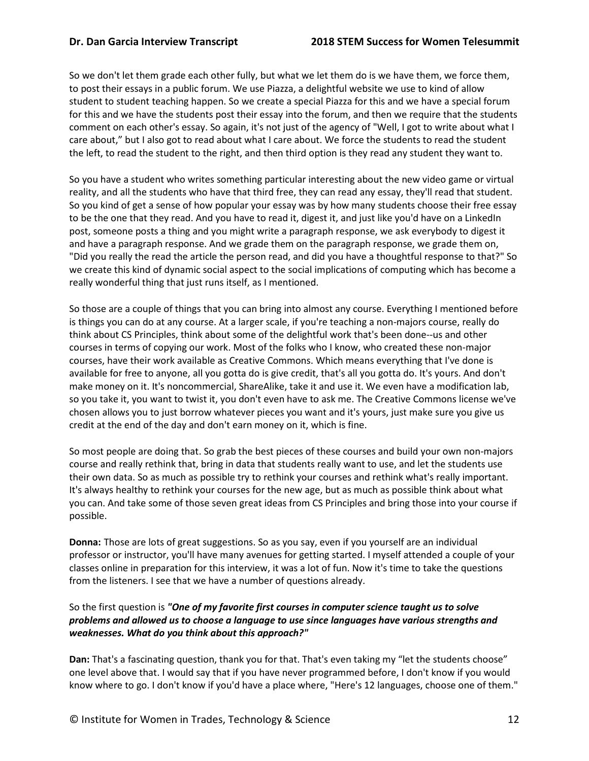So we don't let them grade each other fully, but what we let them do is we have them, we force them, to post their essays in a public forum. We use Piazza, a delightful website we use to kind of allow student to student teaching happen. So we create a special Piazza for this and we have a special forum for this and we have the students post their essay into the forum, and then we require that the students comment on each other's essay. So again, it's not just of the agency of "Well, I got to write about what I care about," but I also got to read about what I care about. We force the students to read the student the left, to read the student to the right, and then third option is they read any student they want to.

So you have a student who writes something particular interesting about the new video game or virtual reality, and all the students who have that third free, they can read any essay, they'll read that student. So you kind of get a sense of how popular your essay was by how many students choose their free essay to be the one that they read. And you have to read it, digest it, and just like you'd have on a LinkedIn post, someone posts a thing and you might write a paragraph response, we ask everybody to digest it and have a paragraph response. And we grade them on the paragraph response, we grade them on, "Did you really the read the article the person read, and did you have a thoughtful response to that?" So we create this kind of dynamic social aspect to the social implications of computing which has become a really wonderful thing that just runs itself, as I mentioned.

So those are a couple of things that you can bring into almost any course. Everything I mentioned before is things you can do at any course. At a larger scale, if you're teaching a non-majors course, really do think about CS Principles, think about some of the delightful work that's been done--us and other courses in terms of copying our work. Most of the folks who I know, who created these non-major courses, have their work available as Creative Commons. Which means everything that I've done is available for free to anyone, all you gotta do is give credit, that's all you gotta do. It's yours. And don't make money on it. It's noncommercial, ShareAlike, take it and use it. We even have a modification lab, so you take it, you want to twist it, you don't even have to ask me. The Creative Commons license we've chosen allows you to just borrow whatever pieces you want and it's yours, just make sure you give us credit at the end of the day and don't earn money on it, which is fine.

So most people are doing that. So grab the best pieces of these courses and build your own non-majors course and really rethink that, bring in data that students really want to use, and let the students use their own data. So as much as possible try to rethink your courses and rethink what's really important. It's always healthy to rethink your courses for the new age, but as much as possible think about what you can. And take some of those seven great ideas from CS Principles and bring those into your course if possible.

**Donna:** Those are lots of great suggestions. So as you say, even if you yourself are an individual professor or instructor, you'll have many avenues for getting started. I myself attended a couple of your classes online in preparation for this interview, it was a lot of fun. Now it's time to take the questions from the listeners. I see that we have a number of questions already.

So the first question is *"One of my favorite first courses in computer science taught us to solve problems and allowed us to choose a language to use since languages have various strengths and weaknesses. What do you think about this approach?"*

**Dan:** That's a fascinating question, thank you for that. That's even taking my "let the students choose" one level above that. I would say that if you have never programmed before, I don't know if you would know where to go. I don't know if you'd have a place where, "Here's 12 languages, choose one of them."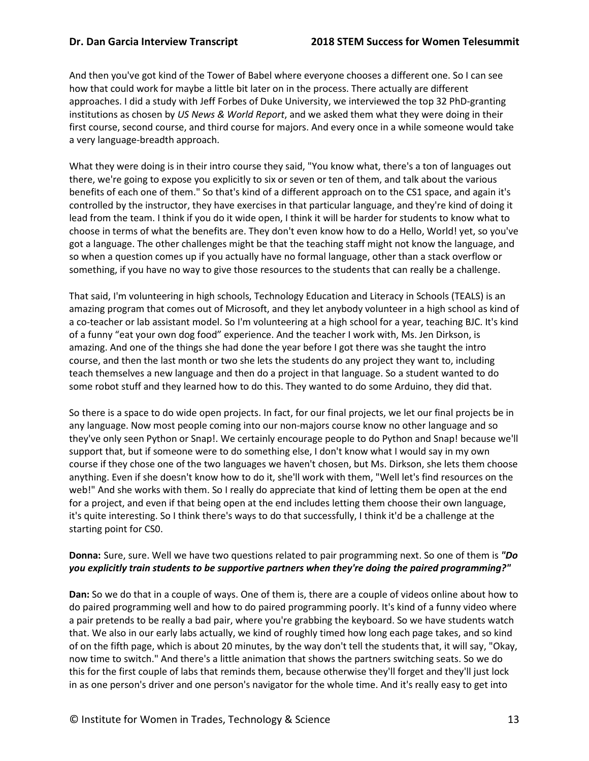And then you've got kind of the Tower of Babel where everyone chooses a different one. So I can see how that could work for maybe a little bit later on in the process. There actually are different approaches. I did a study with Jeff Forbes of Duke University, we interviewed the top 32 PhD-granting institutions as chosen by *US News & World Report*, and we asked them what they were doing in their first course, second course, and third course for majors. And every once in a while someone would take a very language-breadth approach.

What they were doing is in their intro course they said, "You know what, there's a ton of languages out there, we're going to expose you explicitly to six or seven or ten of them, and talk about the various benefits of each one of them." So that's kind of a different approach on to the CS1 space, and again it's controlled by the instructor, they have exercises in that particular language, and they're kind of doing it lead from the team. I think if you do it wide open, I think it will be harder for students to know what to choose in terms of what the benefits are. They don't even know how to do a Hello, World! yet, so you've got a language. The other challenges might be that the teaching staff might not know the language, and so when a question comes up if you actually have no formal language, other than a stack overflow or something, if you have no way to give those resources to the students that can really be a challenge.

That said, I'm volunteering in high schools, Technology Education and Literacy in Schools (TEALS) is an amazing program that comes out of Microsoft, and they let anybody volunteer in a high school as kind of a co-teacher or lab assistant model. So I'm volunteering at a high school for a year, teaching BJC. It's kind of a funny "eat your own dog food" experience. And the teacher I work with, Ms. Jen Dirkson, is amazing. And one of the things she had done the year before I got there was she taught the intro course, and then the last month or two she lets the students do any project they want to, including teach themselves a new language and then do a project in that language. So a student wanted to do some robot stuff and they learned how to do this. They wanted to do some Arduino, they did that.

So there is a space to do wide open projects. In fact, for our final projects, we let our final projects be in any language. Now most people coming into our non-majors course know no other language and so they've only seen Python or Snap!. We certainly encourage people to do Python and Snap! because we'll support that, but if someone were to do something else, I don't know what I would say in my own course if they chose one of the two languages we haven't chosen, but Ms. Dirkson, she lets them choose anything. Even if she doesn't know how to do it, she'll work with them, "Well let's find resources on the web!" And she works with them. So I really do appreciate that kind of letting them be open at the end for a project, and even if that being open at the end includes letting them choose their own language, it's quite interesting. So I think there's ways to do that successfully, I think it'd be a challenge at the starting point for CS0.

## **Donna:** Sure, sure. Well we have two questions related to pair programming next. So one of them is *"Do you explicitly train students to be supportive partners when they're doing the paired programming?"*

**Dan:** So we do that in a couple of ways. One of them is, there are a couple of videos online about how to do paired programming well and how to do paired programming poorly. It's kind of a funny video where a pair pretends to be really a bad pair, where you're grabbing the keyboard. So we have students watch that. We also in our early labs actually, we kind of roughly timed how long each page takes, and so kind of on the fifth page, which is about 20 minutes, by the way don't tell the students that, it will say, "Okay, now time to switch." And there's a little animation that shows the partners switching seats. So we do this for the first couple of labs that reminds them, because otherwise they'll forget and they'll just lock in as one person's driver and one person's navigator for the whole time. And it's really easy to get into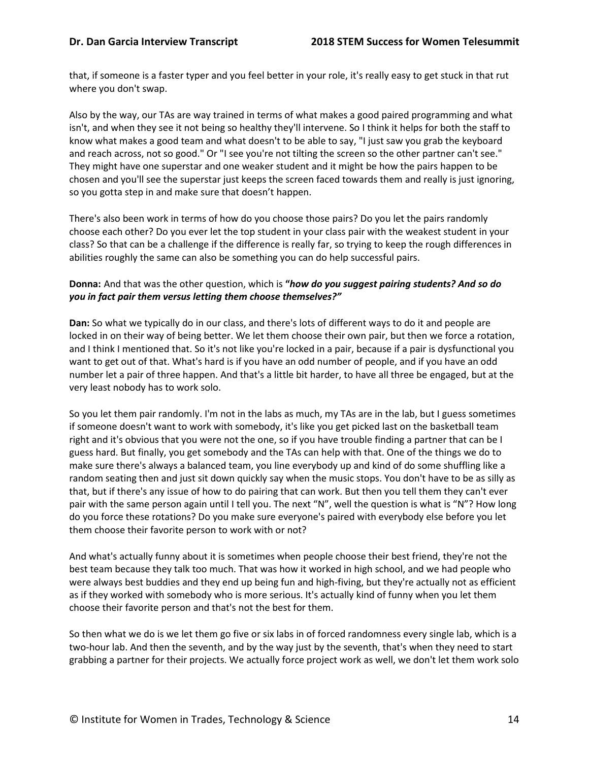that, if someone is a faster typer and you feel better in your role, it's really easy to get stuck in that rut where you don't swap.

Also by the way, our TAs are way trained in terms of what makes a good paired programming and what isn't, and when they see it not being so healthy they'll intervene. So I think it helps for both the staff to know what makes a good team and what doesn't to be able to say, "I just saw you grab the keyboard and reach across, not so good." Or "I see you're not tilting the screen so the other partner can't see." They might have one superstar and one weaker student and it might be how the pairs happen to be chosen and you'll see the superstar just keeps the screen faced towards them and really is just ignoring, so you gotta step in and make sure that doesn't happen.

There's also been work in terms of how do you choose those pairs? Do you let the pairs randomly choose each other? Do you ever let the top student in your class pair with the weakest student in your class? So that can be a challenge if the difference is really far, so trying to keep the rough differences in abilities roughly the same can also be something you can do help successful pairs.

### **Donna:** And that was the other question, which is **"***how do you suggest pairing students? And so do you in fact pair them versus letting them choose themselves?"*

**Dan:** So what we typically do in our class, and there's lots of different ways to do it and people are locked in on their way of being better. We let them choose their own pair, but then we force a rotation, and I think I mentioned that. So it's not like you're locked in a pair, because if a pair is dysfunctional you want to get out of that. What's hard is if you have an odd number of people, and if you have an odd number let a pair of three happen. And that's a little bit harder, to have all three be engaged, but at the very least nobody has to work solo.

So you let them pair randomly. I'm not in the labs as much, my TAs are in the lab, but I guess sometimes if someone doesn't want to work with somebody, it's like you get picked last on the basketball team right and it's obvious that you were not the one, so if you have trouble finding a partner that can be I guess hard. But finally, you get somebody and the TAs can help with that. One of the things we do to make sure there's always a balanced team, you line everybody up and kind of do some shuffling like a random seating then and just sit down quickly say when the music stops. You don't have to be as silly as that, but if there's any issue of how to do pairing that can work. But then you tell them they can't ever pair with the same person again until I tell you. The next "N", well the question is what is "N"? How long do you force these rotations? Do you make sure everyone's paired with everybody else before you let them choose their favorite person to work with or not?

And what's actually funny about it is sometimes when people choose their best friend, they're not the best team because they talk too much. That was how it worked in high school, and we had people who were always best buddies and they end up being fun and high-fiving, but they're actually not as efficient as if they worked with somebody who is more serious. It's actually kind of funny when you let them choose their favorite person and that's not the best for them.

So then what we do is we let them go five or six labs in of forced randomness every single lab, which is a two-hour lab. And then the seventh, and by the way just by the seventh, that's when they need to start grabbing a partner for their projects. We actually force project work as well, we don't let them work solo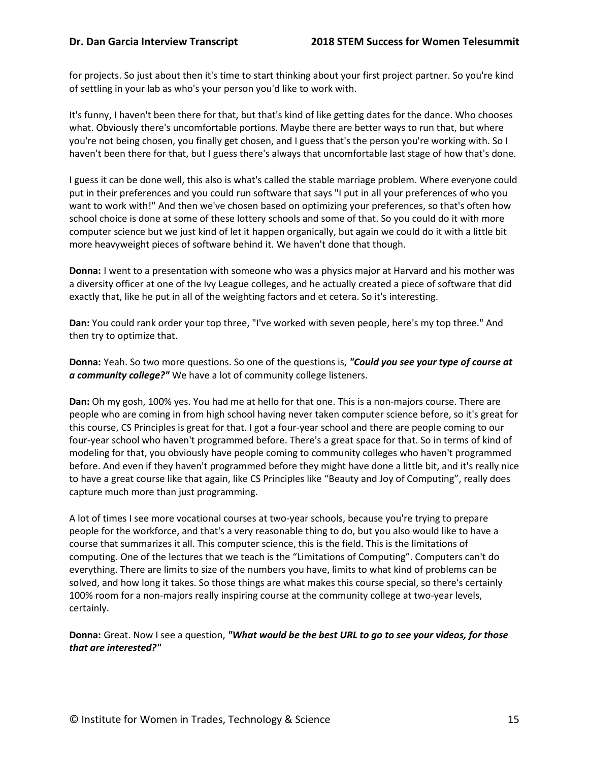for projects. So just about then it's time to start thinking about your first project partner. So you're kind of settling in your lab as who's your person you'd like to work with.

It's funny, I haven't been there for that, but that's kind of like getting dates for the dance. Who chooses what. Obviously there's uncomfortable portions. Maybe there are better ways to run that, but where you're not being chosen, you finally get chosen, and I guess that's the person you're working with. So I haven't been there for that, but I guess there's always that uncomfortable last stage of how that's done.

I guess it can be done well, this also is what's called the stable marriage problem. Where everyone could put in their preferences and you could run software that says "I put in all your preferences of who you want to work with!" And then we've chosen based on optimizing your preferences, so that's often how school choice is done at some of these lottery schools and some of that. So you could do it with more computer science but we just kind of let it happen organically, but again we could do it with a little bit more heavyweight pieces of software behind it. We haven't done that though.

**Donna:** I went to a presentation with someone who was a physics major at Harvard and his mother was a diversity officer at one of the Ivy League colleges, and he actually created a piece of software that did exactly that, like he put in all of the weighting factors and et cetera. So it's interesting.

**Dan:** You could rank order your top three, "I've worked with seven people, here's my top three." And then try to optimize that.

**Donna:** Yeah. So two more questions. So one of the questions is, *"Could you see your type of course at a community college?"* We have a lot of community college listeners.

**Dan:** Oh my gosh, 100% yes. You had me at hello for that one. This is a non-majors course. There are people who are coming in from high school having never taken computer science before, so it's great for this course, CS Principles is great for that. I got a four-year school and there are people coming to our four-year school who haven't programmed before. There's a great space for that. So in terms of kind of modeling for that, you obviously have people coming to community colleges who haven't programmed before. And even if they haven't programmed before they might have done a little bit, and it's really nice to have a great course like that again, like CS Principles like "Beauty and Joy of Computing", really does capture much more than just programming.

A lot of times I see more vocational courses at two-year schools, because you're trying to prepare people for the workforce, and that's a very reasonable thing to do, but you also would like to have a course that summarizes it all. This computer science, this is the field. This is the limitations of computing. One of the lectures that we teach is the "Limitations of Computing". Computers can't do everything. There are limits to size of the numbers you have, limits to what kind of problems can be solved, and how long it takes. So those things are what makes this course special, so there's certainly 100% room for a non-majors really inspiring course at the community college at two-year levels, certainly.

**Donna:** Great. Now I see a question, *"What would be the best URL to go to see your videos, for those that are interested?"*